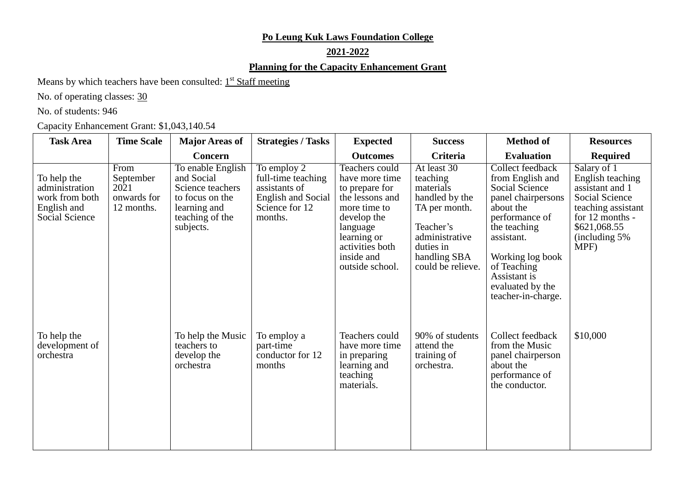### **Po Leung Kuk Laws Foundation College**

## **2021-2022**

### **Planning for the Capacity Enhancement Grant**

Means by which teachers have been consulted: 1<sup>st</sup> Staff meeting

No. of operating classes:  $30$ 

No. of students: 946

Capacity Enhancement Grant: \$1,043,140.54

| <b>Task Area</b>                                                                 | <b>Time Scale</b>                                      | <b>Major Areas of</b>                                                                                                  | <b>Strategies / Tasks</b>                                                                                    | <b>Expected</b>                                                                                                                                                                     | <b>Success</b>                                                                                                                                           | <b>Method of</b>                                                                                                                                                                                                                              | <b>Resources</b>                                                                                                                                               |
|----------------------------------------------------------------------------------|--------------------------------------------------------|------------------------------------------------------------------------------------------------------------------------|--------------------------------------------------------------------------------------------------------------|-------------------------------------------------------------------------------------------------------------------------------------------------------------------------------------|----------------------------------------------------------------------------------------------------------------------------------------------------------|-----------------------------------------------------------------------------------------------------------------------------------------------------------------------------------------------------------------------------------------------|----------------------------------------------------------------------------------------------------------------------------------------------------------------|
|                                                                                  |                                                        | Concern                                                                                                                |                                                                                                              | <b>Outcomes</b>                                                                                                                                                                     | Criteria                                                                                                                                                 | <b>Evaluation</b>                                                                                                                                                                                                                             | <b>Required</b>                                                                                                                                                |
| To help the<br>administration<br>work from both<br>English and<br>Social Science | From<br>September<br>2021<br>onwards for<br>12 months. | To enable English<br>and Social<br>Science teachers<br>to focus on the<br>learning and<br>teaching of the<br>subjects. | To employ 2<br>full-time teaching<br>assistants of<br><b>English and Social</b><br>Science for 12<br>months. | Teachers could<br>have more time<br>to prepare for<br>the lessons and<br>more time to<br>develop the<br>language<br>learning or<br>activities both<br>inside and<br>outside school. | At least 30<br>teaching<br>materials<br>handled by the<br>TA per month.<br>Teacher's<br>administrative<br>duties in<br>handling SBA<br>could be relieve. | Collect feedback<br>from English and<br><b>Social Science</b><br>panel chairpersons<br>about the<br>performance of<br>the teaching<br>assistant.<br>Working log book<br>of Teaching<br>Assistant is<br>evaluated by the<br>teacher-in-charge. | Salary of 1<br>English teaching<br>assistant and 1<br><b>Social Science</b><br>teaching assistant<br>for 12 months -<br>\$621,068.55<br>(including 5%)<br>MPF) |
| To help the<br>development of<br>orchestra                                       |                                                        | To help the Music<br>teachers to<br>develop the<br>orchestra                                                           | To employ a<br>part-time<br>conductor for 12<br>months                                                       | Teachers could<br>have more time<br>in preparing<br>learning and<br>teaching<br>materials.                                                                                          | 90% of students<br>attend the<br>training of<br>orchestra.                                                                                               | Collect feedback<br>from the Music<br>panel chairperson<br>about the<br>performance of<br>the conductor.                                                                                                                                      | \$10,000                                                                                                                                                       |